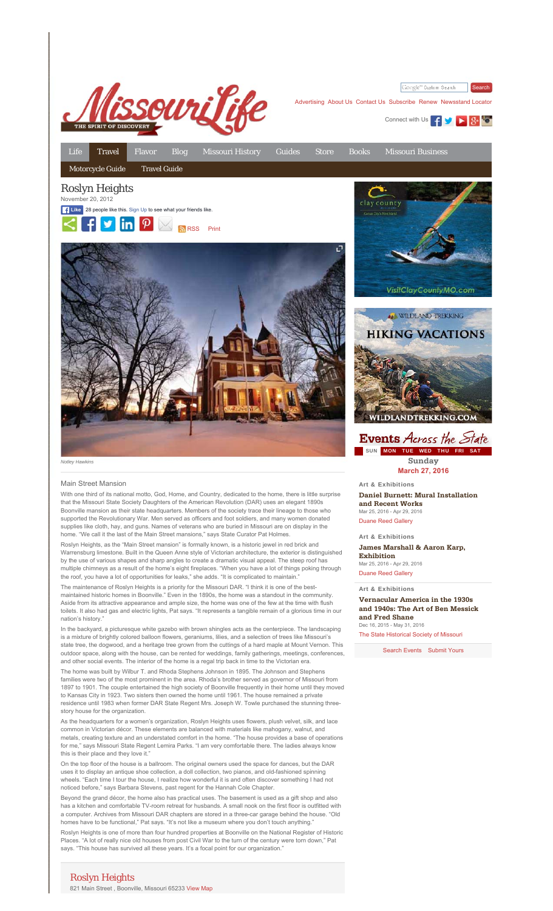

Google<sup>m</sup> Custom Search **Search** 

Advertising About Us Contact Us Subscribe Renew Newsstand Locator

Connect with Us **4 MILE 34 MB** 

Life Travel Flavor Blog Missouri History Guides Store Books Missouri Business Motorcycle Guide Travel Guide Roslyn Heights November 20, 2012 clay county **Like** 28 people like this. Sign Up to see what your friends like.  $f \circ \text{in} \circ \text{P}$  arss print

## Main Street Mansion

With one third of its national motto, God, Home, and Country, dedicated to the home, there is little surprise that the Missouri State Society Daughters of the American Revolution (DAR) uses an elegant 1890s Boonville mansion as their state headquarters. Members of the society trace their lineage to those who supported the Revolutionary War. Men served as officers and foot soldiers, and many women donated supplies like cloth, hay, and guns. Names of veterans who are buried in Missouri are on display in the home. "We call it the last of the Main Street mansions," says State Curator Pat Holmes

Roslyn Heights, as the "Main Street mansion" is formally known, is a historic jewel in red brick and Warrensburg limestone. Built in the Queen Anne style of Victorian architecture, the exterior is distinguished by the use of various shapes and sharp angles to create a dramatic visual appeal. The steep roof has multiple chimneys as a result of the home's eight fireplaces. "When you have a lot of things poking through the roof, you have a lot of opportunities for leaks," she adds. "It is complicated to maintain

The maintenance of Roslyn Heights is a priority for the Missouri DAR. "I think it is one of the bestmaintained historic homes in Boonville." Even in the 1890s, the home was a standout in the community. Aside from its attractive appearance and ample size, the home was one of the few at the time with flush toilets. It also had gas and electric lights, Pat says. "It represents a tangible remain of a glorious time in our nation's history."

In the backyard, a picturesque white gazebo with brown shingles acts as the centerpiece. The landscaping is a mixture of brightly colored balloon flowers, geraniums, lilies, and a selection of trees like Missouri's state tree, the dogwood, and a heritage tree grown from the cuttings of a hard maple at Mount Vernon. This outdoor space, along with the house, can be rented for weddings, family gatherings, meetings, conferences, and other social events. The interior of the home is a regal trip back in time to the Victorian era.

The home was built by Wilbur T. and Rhoda Stephens Johnson in 1895. The Johnson and Stephens families were two of the most prominent in the area. Rhoda's brother served as governor of Missouri from 1897 to 1901. The couple entertained the high society of Boonville frequently in their home until they moved to Kansas City in 1923. Two sisters then owned the home until 1961. The house remained a private residence until 1983 when former DAR State Regent Mrs. Joseph W. Towle purchased the stunning threestory house for the organization.

As the headquarters for a women's organization, Roslyn Heights uses flowers, plush velvet, silk, and lace common in Victorian décor. These elements are balanced with materials like mahogany, walnut, and metals, creating texture and an understated comfort in the home. "The house provides a base of operations for me," says Missouri State Regent Lemira Parks. "I am very comfortable there. The ladies always know this is their place and they love it."

On the top floor of the house is a ballroom. The original owners used the space for dances, but the DAR uses it to display an antique shoe collection, a doll collection, two pianos, and old-fashioned spinning wheels. "Each time I tour the house, I realize how wonderful it is and often discover something I had not noticed before," says Barbara Stevens, past regent for the Hannah Cole Chapter.

Beyond the grand décor, the home also has practical uses. The basement is used as a gift shop and also has a kitchen and comfortable TV-room retreat for husbands. A small nook on the first floor is outfitted with a computer. Archives from Missouri DAR chapters are stored in a three-car garage behind the house. "Old homes have to be functional," Pat says. "It's not like a museum where you don't touch anything." Roslyn Heights is one of more than four hundred properties at Boonville on the National Register of Historic Places. "A lot of really nice old houses from post Civil War to the turn of the century were torn down," Pat says. "This house has survived all these years. It's a focal point for our organization.

## Roslyn Heights

821 Main Street , Boonville, Missouri 65233 View Map





## **Events** Across the State SUN MON TUE WED THU FRI SAT **Sunday**

**March 27, 2016**

**Daniel Burnett: Mural Installation and Recent Works** Mar 25, 2016 - Apr 29, 2016 Duane Reed Gallery

Art & Exhibitions

Art & Exhibitions

**James Marshall & Aaron Karp, Exhibition**

Mar 25, 2016 - Apr 29, 2016 Duane Reed Gallery

Art & Exhibitions

**Vernacular America in the 1930s and 1940s: The Art of Ben Messick and Fred Shane** Dec 16, 2015 - May 31, 2016

The State Historical Society of Missouri

Search Events Submit Yours

*Notley Hawkins*